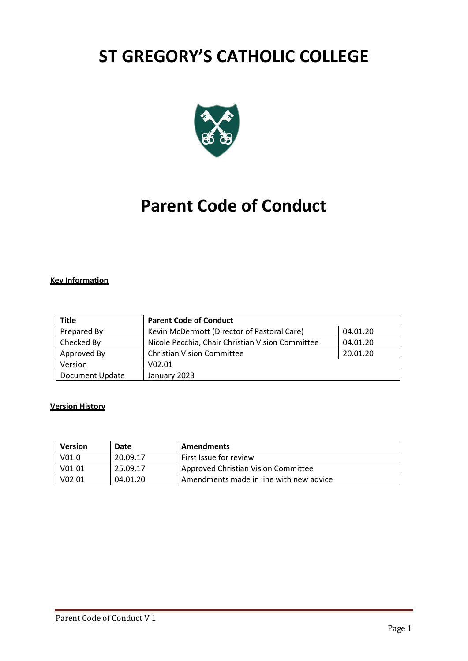# **ST GREGORY'S CATHOLIC COLLEGE**



# **Parent Code of Conduct**

## **Key Information**

| <b>Title</b>           | <b>Parent Code of Conduct</b>                    |          |
|------------------------|--------------------------------------------------|----------|
| Prepared By            | Kevin McDermott (Director of Pastoral Care)      | 04.01.20 |
| Checked By             | Nicole Pecchia, Chair Christian Vision Committee | 04.01.20 |
| Approved By            | <b>Christian Vision Committee</b>                | 20.01.20 |
| Version                | V <sub>02.01</sub>                               |          |
| <b>Document Update</b> | January 2023                                     |          |

### **Version History**

| <b>Version</b>     | Date     | <b>Amendments</b>                       |
|--------------------|----------|-----------------------------------------|
| V <sub>01.0</sub>  | 20.09.17 | First Issue for review                  |
| V <sub>01.01</sub> | 25.09.17 | Approved Christian Vision Committee     |
| V <sub>02.01</sub> | 04.01.20 | Amendments made in line with new advice |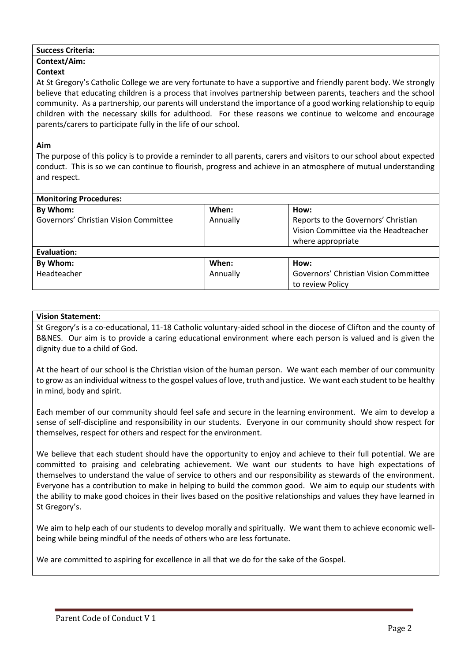## **Success Criteria:**

### **Context/Aim:**

## **Context**

At St Gregory's Catholic College we are very fortunate to have a supportive and friendly parent body. We strongly believe that educating children is a process that involves partnership between parents, teachers and the school community. As a partnership, our parents will understand the importance of a good working relationship to equip children with the necessary skills for adulthood. For these reasons we continue to welcome and encourage parents/carers to participate fully in the life of our school.

## **Aim**

The purpose of this policy is to provide a reminder to all parents, carers and visitors to our school about expected conduct. This is so we can continue to flourish, progress and achieve in an atmosphere of mutual understanding and respect.

| <b>Monitoring Procedures:</b>         |          |                                       |  |  |
|---------------------------------------|----------|---------------------------------------|--|--|
| By Whom:                              | When:    | How:                                  |  |  |
| Governors' Christian Vision Committee | Annually | Reports to the Governors' Christian   |  |  |
|                                       |          | Vision Committee via the Headteacher  |  |  |
|                                       |          | where appropriate                     |  |  |
| Evaluation:                           |          |                                       |  |  |
| By Whom:                              | When:    | How:                                  |  |  |
| Headteacher                           | Annually | Governors' Christian Vision Committee |  |  |
|                                       |          | to review Policy                      |  |  |

## **Vision Statement:**

St Gregory's is a co-educational, 11-18 Catholic voluntary-aided school in the diocese of Clifton and the county of B&NES. Our aim is to provide a caring educational environment where each person is valued and is given the dignity due to a child of God.

At the heart of our school is the Christian vision of the human person. We want each member of our community to grow as an individual witness to the gospel values of love, truth and justice. We want each student to be healthy in mind, body and spirit.

Each member of our community should feel safe and secure in the learning environment. We aim to develop a sense of self-discipline and responsibility in our students. Everyone in our community should show respect for themselves, respect for others and respect for the environment.

We believe that each student should have the opportunity to enjoy and achieve to their full potential. We are committed to praising and celebrating achievement. We want our students to have high expectations of themselves to understand the value of service to others and our responsibility as stewards of the environment. Everyone has a contribution to make in helping to build the common good. We aim to equip our students with the ability to make good choices in their lives based on the positive relationships and values they have learned in St Gregory's.

We aim to help each of our students to develop morally and spiritually. We want them to achieve economic wellbeing while being mindful of the needs of others who are less fortunate.

We are committed to aspiring for excellence in all that we do for the sake of the Gospel.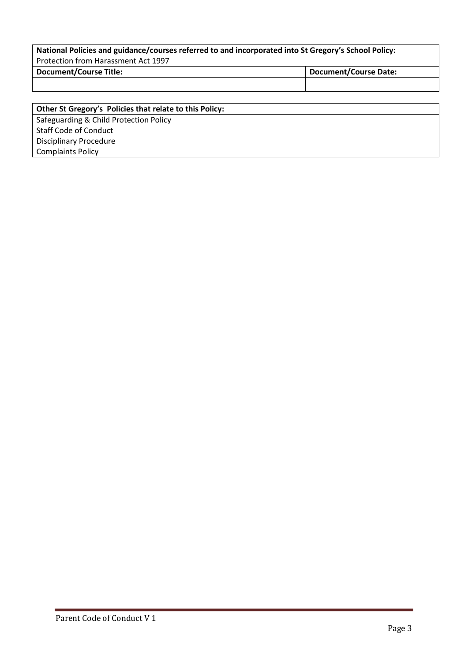# **National Policies and guidance/courses referred to and incorporated into St Gregory's School Policy:** Protection from Harassment Act 1997 **Document/Course Title: Document/Course Date:**

**Other St Gregory's Policies that relate to this Policy:** Safeguarding & Child Protection Policy Staff Code of Conduct Disciplinary Procedure Complaints Policy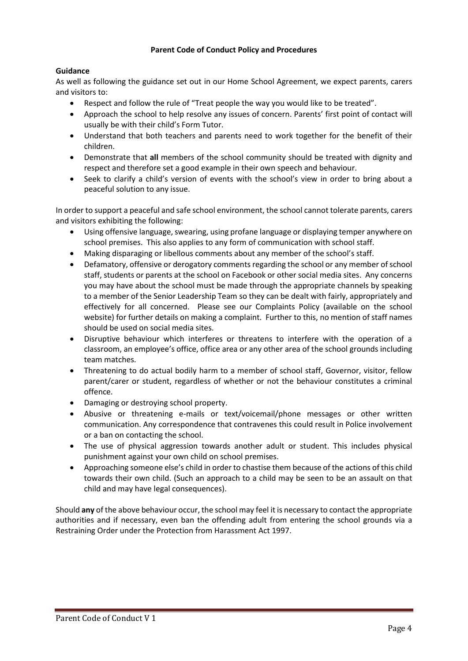## **Parent Code of Conduct Policy and Procedures**

## **Guidance**

As well as following the guidance set out in our Home School Agreement, we expect parents, carers and visitors to:

- Respect and follow the rule of "Treat people the way you would like to be treated".
- Approach the school to help resolve any issues of concern. Parents' first point of contact will usually be with their child's Form Tutor.
- Understand that both teachers and parents need to work together for the benefit of their children.
- Demonstrate that **all** members of the school community should be treated with dignity and respect and therefore set a good example in their own speech and behaviour.
- Seek to clarify a child's version of events with the school's view in order to bring about a peaceful solution to any issue.

In order to support a peaceful and safe school environment, the school cannot tolerate parents, carers and visitors exhibiting the following:

- Using offensive language, swearing, using profane language or displaying temper anywhere on school premises. This also applies to any form of communication with school staff.
- Making disparaging or libellous comments about any member of the school's staff.
- Defamatory, offensive or derogatory comments regarding the school or any member of school staff, students or parents at the school on Facebook or other social media sites. Any concerns you may have about the school must be made through the appropriate channels by speaking to a member of the Senior Leadership Team so they can be dealt with fairly, appropriately and effectively for all concerned. Please see our Complaints Policy (available on the school website) for further details on making a complaint. Further to this, no mention of staff names should be used on social media sites.
- Disruptive behaviour which interferes or threatens to interfere with the operation of a classroom, an employee's office, office area or any other area of the school grounds including team matches.
- Threatening to do actual bodily harm to a member of school staff, Governor, visitor, fellow parent/carer or student, regardless of whether or not the behaviour constitutes a criminal offence.
- Damaging or destroying school property.
- Abusive or threatening e-mails or text/voicemail/phone messages or other written communication. Any correspondence that contravenes this could result in Police involvement or a ban on contacting the school.
- The use of physical aggression towards another adult or student. This includes physical punishment against your own child on school premises.
- Approaching someone else's child in order to chastise them because of the actions of this child towards their own child. (Such an approach to a child may be seen to be an assault on that child and may have legal consequences).

Should **any** of the above behaviour occur, the school may feel it is necessary to contact the appropriate authorities and if necessary, even ban the offending adult from entering the school grounds via a Restraining Order under the Protection from Harassment Act 1997.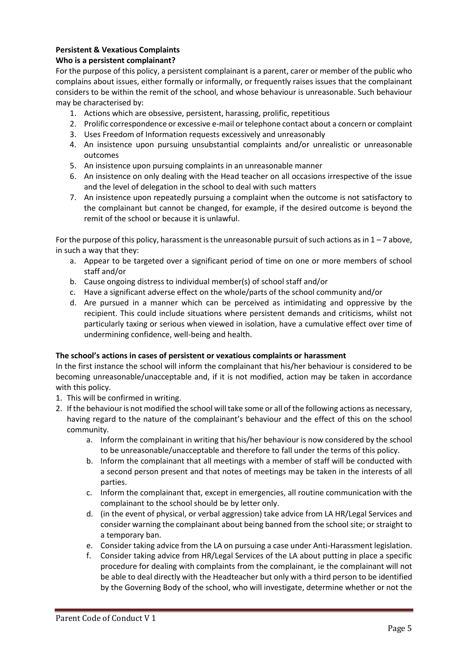## **Persistent & Vexatious Complaints**

## **Who is a persistent complainant?**

For the purpose of this policy, a persistent complainant is a parent, carer or member of the public who complains about issues, either formally or informally, or frequently raises issues that the complainant considers to be within the remit of the school, and whose behaviour is unreasonable. Such behaviour may be characterised by:

- 1. Actions which are obsessive, persistent, harassing, prolific, repetitious
- 2. Prolific correspondence or excessive e-mail or telephone contact about a concern or complaint
- 3. Uses Freedom of Information requests excessively and unreasonably
- 4. An insistence upon pursuing unsubstantial complaints and/or unrealistic or unreasonable outcomes
- 5. An insistence upon pursuing complaints in an unreasonable manner
- 6. An insistence on only dealing with the Head teacher on all occasions irrespective of the issue and the level of delegation in the school to deal with such matters
- 7. An insistence upon repeatedly pursuing a complaint when the outcome is not satisfactory to the complainant but cannot be changed, for example, if the desired outcome is beyond the remit of the school or because it is unlawful.

For the purpose of this policy, harassment is the unreasonable pursuit of such actions as in  $1 - 7$  above, in such a way that they:

- a. Appear to be targeted over a significant period of time on one or more members of school staff and/or
- b. Cause ongoing distress to individual member(s) of school staff and/or
- c. Have a significant adverse effect on the whole/parts of the school community and/or
- d. Are pursued in a manner which can be perceived as intimidating and oppressive by the recipient. This could include situations where persistent demands and criticisms, whilst not particularly taxing or serious when viewed in isolation, have a cumulative effect over time of undermining confidence, well-being and health.

## **The school's actions in cases of persistent or vexatious complaints or harassment**

In the first instance the school will inform the complainant that his/her behaviour is considered to be becoming unreasonable/unacceptable and, if it is not modified, action may be taken in accordance with this policy.

- 1. This will be confirmed in writing.
- 2. If the behaviour is not modified the school will take some or all of the following actions as necessary, having regard to the nature of the complainant's behaviour and the effect of this on the school community.
	- a. Inform the complainant in writing that his/her behaviour is now considered by the school to be unreasonable/unacceptable and therefore to fall under the terms of this policy.
	- b. Inform the complainant that all meetings with a member of staff will be conducted with a second person present and that notes of meetings may be taken in the interests of all parties.
	- c. Inform the complainant that, except in emergencies, all routine communication with the complainant to the school should be by letter only.
	- d. (in the event of physical, or verbal aggression) take advice from LA HR/Legal Services and consider warning the complainant about being banned from the school site; or straight to a temporary ban.
	- e. Consider taking advice from the LA on pursuing a case under Anti-Harassment legislation.
	- f. Consider taking advice from HR/Legal Services of the LA about putting in place a specific procedure for dealing with complaints from the complainant, ie the complainant will not be able to deal directly with the Headteacher but only with a third person to be identified by the Governing Body of the school, who will investigate, determine whether or not the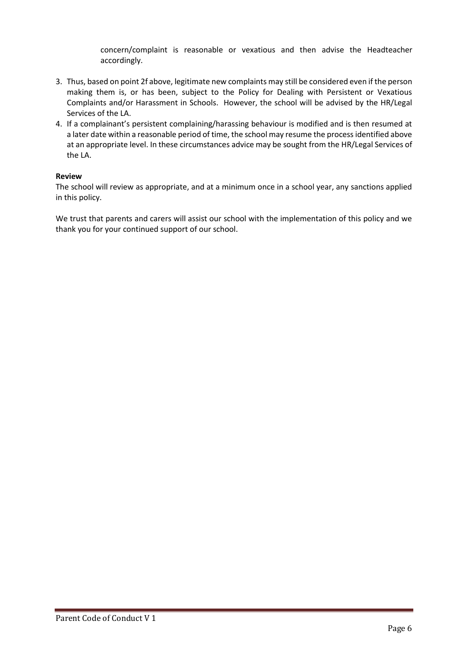concern/complaint is reasonable or vexatious and then advise the Headteacher accordingly.

- 3. Thus, based on point 2f above, legitimate new complaints may still be considered even if the person making them is, or has been, subject to the Policy for Dealing with Persistent or Vexatious Complaints and/or Harassment in Schools. However, the school will be advised by the HR/Legal Services of the LA.
- 4. If a complainant's persistent complaining/harassing behaviour is modified and is then resumed at a later date within a reasonable period of time, the school may resume the process identified above at an appropriate level. In these circumstances advice may be sought from the HR/Legal Services of the LA.

## **Review**

The school will review as appropriate, and at a minimum once in a school year, any sanctions applied in this policy.

We trust that parents and carers will assist our school with the implementation of this policy and we thank you for your continued support of our school.